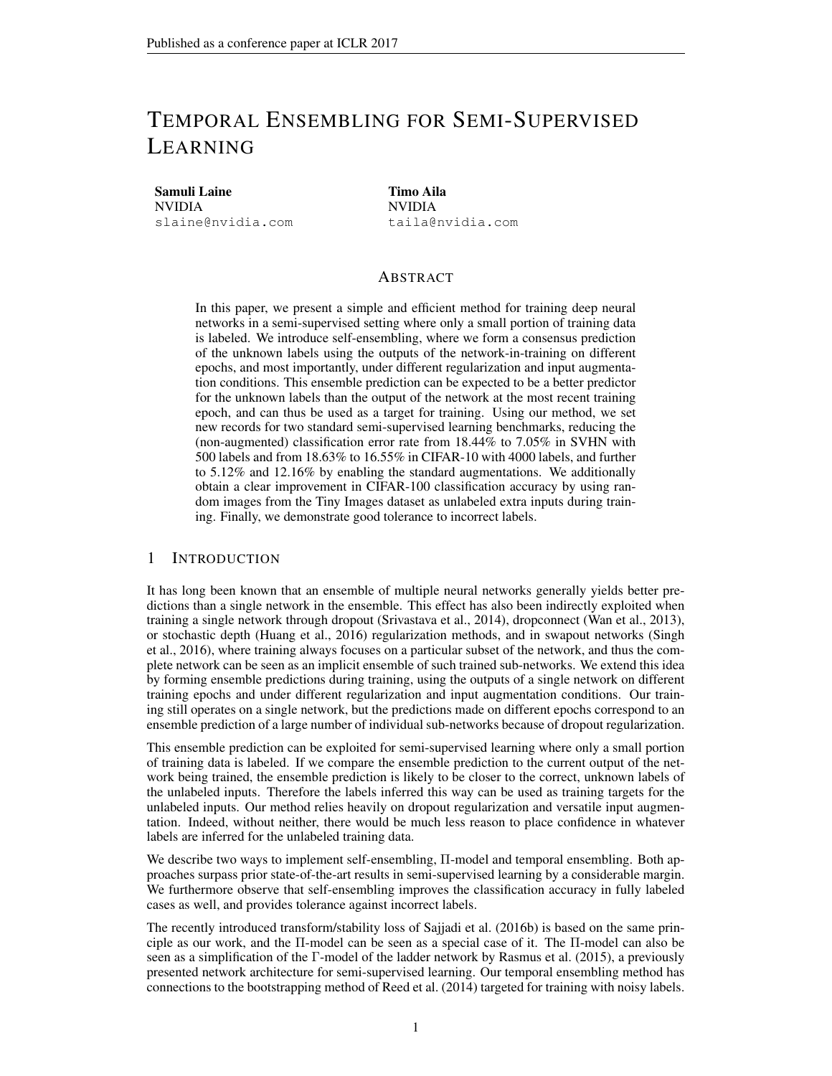# TEMPORAL ENSEMBLING FOR SEMI-SUPERVISED LEARNING

Samuli Laine NVIDIA slaine@nvidia.com Timo Aila NVIDIA taila@nvidia.com

# ABSTRACT

In this paper, we present a simple and efficient method for training deep neural networks in a semi-supervised setting where only a small portion of training data is labeled. We introduce self-ensembling, where we form a consensus prediction of the unknown labels using the outputs of the network-in-training on different epochs, and most importantly, under different regularization and input augmentation conditions. This ensemble prediction can be expected to be a better predictor for the unknown labels than the output of the network at the most recent training epoch, and can thus be used as a target for training. Using our method, we set new records for two standard semi-supervised learning benchmarks, reducing the (non-augmented) classification error rate from 18.44% to 7.05% in SVHN with 500 labels and from 18.63% to 16.55% in CIFAR-10 with 4000 labels, and further to 5.12% and 12.16% by enabling the standard augmentations. We additionally obtain a clear improvement in CIFAR-100 classification accuracy by using random images from the Tiny Images dataset as unlabeled extra inputs during training. Finally, we demonstrate good tolerance to incorrect labels.

## 1 INTRODUCTION

It has long been known that an ensemble of multiple neural networks generally yields better predictions than a single network in the ensemble. This effect has also been indirectly exploited when training a single network through dropout (Srivastava et al., 2014), dropconnect (Wan et al., 2013), or stochastic depth (Huang et al., 2016) regularization methods, and in swapout networks (Singh et al., 2016), where training always focuses on a particular subset of the network, and thus the complete network can be seen as an implicit ensemble of such trained sub-networks. We extend this idea by forming ensemble predictions during training, using the outputs of a single network on different training epochs and under different regularization and input augmentation conditions. Our training still operates on a single network, but the predictions made on different epochs correspond to an ensemble prediction of a large number of individual sub-networks because of dropout regularization.

This ensemble prediction can be exploited for semi-supervised learning where only a small portion of training data is labeled. If we compare the ensemble prediction to the current output of the network being trained, the ensemble prediction is likely to be closer to the correct, unknown labels of the unlabeled inputs. Therefore the labels inferred this way can be used as training targets for the unlabeled inputs. Our method relies heavily on dropout regularization and versatile input augmentation. Indeed, without neither, there would be much less reason to place confidence in whatever labels are inferred for the unlabeled training data.

We describe two ways to implement self-ensembling, Π-model and temporal ensembling. Both approaches surpass prior state-of-the-art results in semi-supervised learning by a considerable margin. We furthermore observe that self-ensembling improves the classification accuracy in fully labeled cases as well, and provides tolerance against incorrect labels.

The recently introduced transform/stability loss of Sajjadi et al. (2016b) is based on the same principle as our work, and the Π-model can be seen as a special case of it. The Π-model can also be seen as a simplification of the Γ-model of the ladder network by Rasmus et al. (2015), a previously presented network architecture for semi-supervised learning. Our temporal ensembling method has connections to the bootstrapping method of Reed et al. (2014) targeted for training with noisy labels.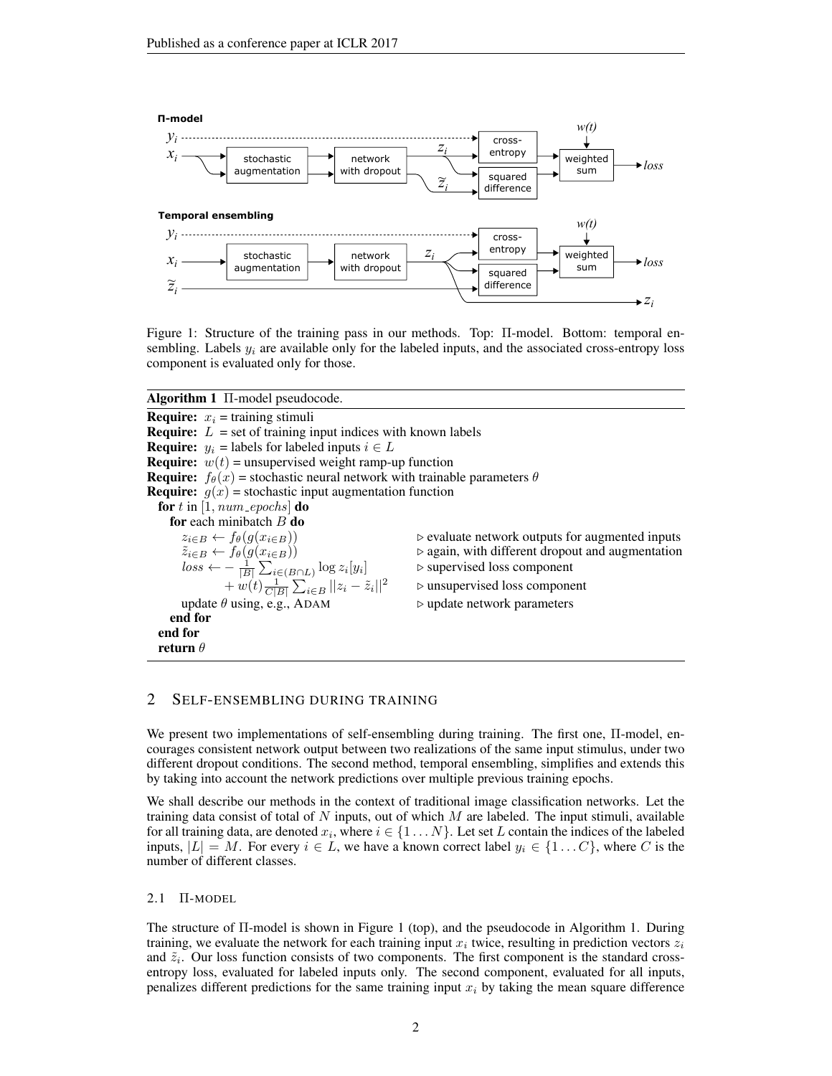

Figure 1: Structure of the training pass in our methods. Top: Π-model. Bottom: temporal ensembling. Labels  $y_i$  are available only for the labeled inputs, and the associated cross-entropy loss component is evaluated only for those.

Algorithm 1 Π-model pseudocode. **Require:**  $x_i$  = training stimuli **Require:**  $L = \text{set of training input indices with known labels$ **Require:**  $y_i$  = labels for labeled inputs  $i \in L$ **Require:**  $w(t)$  = unsupervised weight ramp-up function **Require:**  $f_{\theta}(x)$  = stochastic neural network with trainable parameters  $\theta$ **Require:**  $g(x)$  = stochastic input augmentation function for t in  $[1, num\_epochs]$  do **for** each minibatch B **do**<br>  $z_{i \in B} \leftarrow f_{\theta}(g(x_{i \in B}))$ <br>  $\tilde{z}_{i \in B} \leftarrow f_{\theta}(g(x_{i \in B}))$ ⊳ evaluate network outputs for augmented inputs ⊵ again, with different dropout and augmentation  $loss \leftarrow -\frac{1}{|B|}\sum_{i\in (B\cap L)}\log z_i[y_i]$  $\triangleright$  supervised loss component  $+ w(t) \frac{1}{C|B|} \sum_{i \in B} ||z_i - \tilde{z}_i$  $\triangleright$  unsupervised loss component update  $\theta$  using, e.g., ADAM  $\triangleright$  update network parameters end for end for return  $\theta$ 

## 2 SELF-ENSEMBLING DURING TRAINING

We present two implementations of self-ensembling during training. The first one, Π-model, encourages consistent network output between two realizations of the same input stimulus, under two different dropout conditions. The second method, temporal ensembling, simplifies and extends this by taking into account the network predictions over multiple previous training epochs.

We shall describe our methods in the context of traditional image classification networks. Let the training data consist of total of N inputs, out of which  $M$  are labeled. The input stimuli, available for all training data, are denoted  $x_i$ , where  $i \in \{1 \dots N\}$ . Let set L contain the indices of the labeled inputs,  $|L| = M$ . For every  $i \in L$ , we have a known correct label  $y_i \in \{1...C\}$ , where C is the number of different classes.

2.1 Π-MODEL

The structure of Π-model is shown in Figure 1 (top), and the pseudocode in Algorithm 1. During training, we evaluate the network for each training input  $x_i$  twice, resulting in prediction vectors  $z_i$ and  $\tilde{z}_i$ . Our loss function consists of two components. The first component is the standard crossentropy loss, evaluated for labeled inputs only. The second component, evaluated for all inputs, penalizes different predictions for the same training input  $x_i$  by taking the mean square difference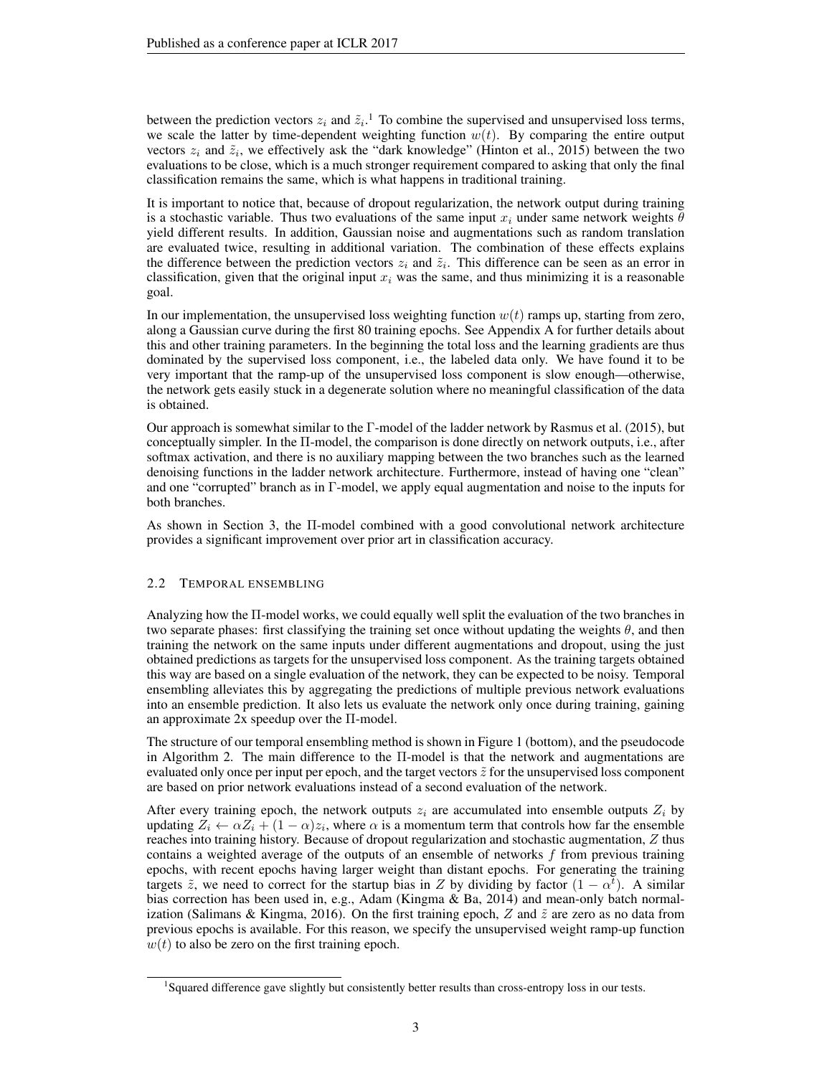between the prediction vectors  $z_i$  and  $\tilde{z}_i$ .<sup>1</sup> To combine the supervised and unsupervised loss terms, we scale the latter by time-dependent weighting function  $w(t)$ . By comparing the entire output vectors  $z_i$  and  $\tilde{z}_i$ , we effectively ask the "dark knowledge" (Hinton et al., 2015) between the two evaluations to be close, which is a much stronger requirement compared to asking that only the final classification remains the same, which is what happens in traditional training.

It is important to notice that, because of dropout regularization, the network output during training is a stochastic variable. Thus two evaluations of the same input  $x_i$  under same network weights  $\theta$ yield different results. In addition, Gaussian noise and augmentations such as random translation are evaluated twice, resulting in additional variation. The combination of these effects explains the difference between the prediction vectors  $z_i$  and  $\tilde{z}_i$ . This difference can be seen as an error in classification, given that the original input  $x_i$  was the same, and thus minimizing it is a reasonable goal.

In our implementation, the unsupervised loss weighting function  $w(t)$  ramps up, starting from zero, along a Gaussian curve during the first 80 training epochs. See Appendix A for further details about this and other training parameters. In the beginning the total loss and the learning gradients are thus dominated by the supervised loss component, i.e., the labeled data only. We have found it to be very important that the ramp-up of the unsupervised loss component is slow enough—otherwise, the network gets easily stuck in a degenerate solution where no meaningful classification of the data is obtained.

Our approach is somewhat similar to the Γ-model of the ladder network by Rasmus et al. (2015), but conceptually simpler. In the Π-model, the comparison is done directly on network outputs, i.e., after softmax activation, and there is no auxiliary mapping between the two branches such as the learned denoising functions in the ladder network architecture. Furthermore, instead of having one "clean" and one "corrupted" branch as in Γ-model, we apply equal augmentation and noise to the inputs for both branches.

As shown in Section 3, the Π-model combined with a good convolutional network architecture provides a significant improvement over prior art in classification accuracy.

## 2.2 TEMPORAL ENSEMBLING

Analyzing how the Π-model works, we could equally well split the evaluation of the two branches in two separate phases: first classifying the training set once without updating the weights  $\theta$ , and then training the network on the same inputs under different augmentations and dropout, using the just obtained predictions as targets for the unsupervised loss component. As the training targets obtained this way are based on a single evaluation of the network, they can be expected to be noisy. Temporal ensembling alleviates this by aggregating the predictions of multiple previous network evaluations into an ensemble prediction. It also lets us evaluate the network only once during training, gaining an approximate 2x speedup over the Π-model.

The structure of our temporal ensembling method is shown in Figure 1 (bottom), and the pseudocode in Algorithm 2. The main difference to the Π-model is that the network and augmentations are evaluated only once per input per epoch, and the target vectors  $\tilde{z}$  for the unsupervised loss component are based on prior network evaluations instead of a second evaluation of the network.

After every training epoch, the network outputs  $z_i$  are accumulated into ensemble outputs  $Z_i$  by updating  $Z_i \leftarrow \alpha Z_i + (1 - \alpha)z_i$ , where  $\alpha$  is a momentum term that controls how far the ensemble reaches into training history. Because of dropout regularization and stochastic augmentation, Z thus contains a weighted average of the outputs of an ensemble of networks  $f$  from previous training epochs, with recent epochs having larger weight than distant epochs. For generating the training targets  $\tilde{z}$ , we need to correct for the startup bias in Z by dividing by factor  $(1 - \alpha^{\tilde{t}})$ . A similar bias correction has been used in, e.g., Adam (Kingma & Ba, 2014) and mean-only batch normalization (Salimans & Kingma, 2016). On the first training epoch, Z and  $\tilde{z}$  are zero as no data from previous epochs is available. For this reason, we specify the unsupervised weight ramp-up function  $w(t)$  to also be zero on the first training epoch.

<sup>&</sup>lt;sup>1</sup>Squared difference gave slightly but consistently better results than cross-entropy loss in our tests.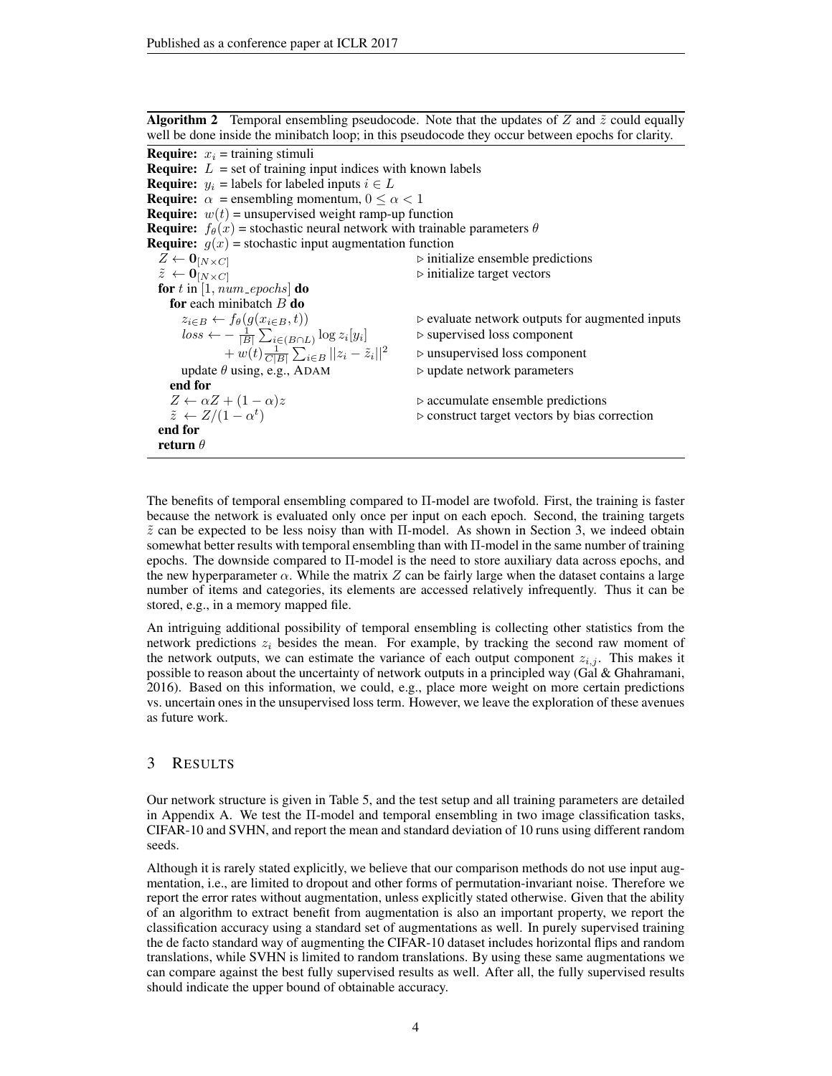**Algorithm 2** Temporal ensembling pseudocode. Note that the updates of Z and  $\tilde{z}$  could equally well be done inside the minibatch loop; in this pseudocode they occur between epochs for clarity. **Require:**  $x_i$  = training stimuli **Require:**  $L = \text{set of training input indices with known labels$ **Require:**  $y_i$  = labels for labeled inputs  $i \in L$ **Require:**  $\alpha$  = ensembling momentum,  $0 \le \alpha < 1$ **Require:**  $w(t)$  = unsupervised weight ramp-up function **Require:**  $f_{\theta}(x)$  = stochastic neural network with trainable parameters  $\theta$ **Require:**  $g(x)$  = stochastic input augmentation function  $Z \leftarrow 0_{[N \times C]}$ <br>  $\tilde{z} \leftarrow 0_{[N \times C]}$  . initialize ensemble predictions <br>  $\triangleright$  initialize target vectors  $\rhd$  initialize target vectors for  $t$  in [1,  $num\_epochs$ ] do for each minibatch  $B$  do  $z_{i\in B} \leftarrow f_{\theta}(g(x_{i\in B}, t))$   $\triangleright$  evaluate network outputs for augmented inputs  $loss \leftarrow -\frac{1}{|B|} \sum_{i \in (B \cap L)} \log z_i[y_i]$   $\triangleright$  supervised loss component  $+ w(t) \frac{1}{C|B|} \sum_{i \in B} ||z_i - \tilde{z}_i||^2$   $\Rightarrow$  unsupervised loss component update  $\theta$  using, e.g., ADAM  $\triangleright$  update network parameters end for  $Z \leftarrow \alpha Z + (1 - \alpha)z$  .  $\triangleright$  accumulate ensemble predictions  $\tilde{z} \leftarrow Z/(1-\alpha^t)$  $\triangleright$  construct target vectors by bias correction end for return  $\theta$ 

The benefits of temporal ensembling compared to Π-model are twofold. First, the training is faster because the network is evaluated only once per input on each epoch. Second, the training targets  $\tilde{z}$  can be expected to be less noisy than with  $\Pi$ -model. As shown in Section 3, we indeed obtain somewhat better results with temporal ensembling than with Π-model in the same number of training epochs. The downside compared to Π-model is the need to store auxiliary data across epochs, and the new hyperparameter  $\alpha$ . While the matrix Z can be fairly large when the dataset contains a large number of items and categories, its elements are accessed relatively infrequently. Thus it can be stored, e.g., in a memory mapped file.

An intriguing additional possibility of temporal ensembling is collecting other statistics from the network predictions  $z_i$  besides the mean. For example, by tracking the second raw moment of the network outputs, we can estimate the variance of each output component  $z_{i,j}$ . This makes it possible to reason about the uncertainty of network outputs in a principled way (Gal & Ghahramani, 2016). Based on this information, we could, e.g., place more weight on more certain predictions vs. uncertain ones in the unsupervised loss term. However, we leave the exploration of these avenues as future work.

## 3 RESULTS

Our network structure is given in Table 5, and the test setup and all training parameters are detailed in Appendix A. We test the Π-model and temporal ensembling in two image classification tasks, CIFAR-10 and SVHN, and report the mean and standard deviation of 10 runs using different random seeds.

Although it is rarely stated explicitly, we believe that our comparison methods do not use input augmentation, i.e., are limited to dropout and other forms of permutation-invariant noise. Therefore we report the error rates without augmentation, unless explicitly stated otherwise. Given that the ability of an algorithm to extract benefit from augmentation is also an important property, we report the classification accuracy using a standard set of augmentations as well. In purely supervised training the de facto standard way of augmenting the CIFAR-10 dataset includes horizontal flips and random translations, while SVHN is limited to random translations. By using these same augmentations we can compare against the best fully supervised results as well. After all, the fully supervised results should indicate the upper bound of obtainable accuracy.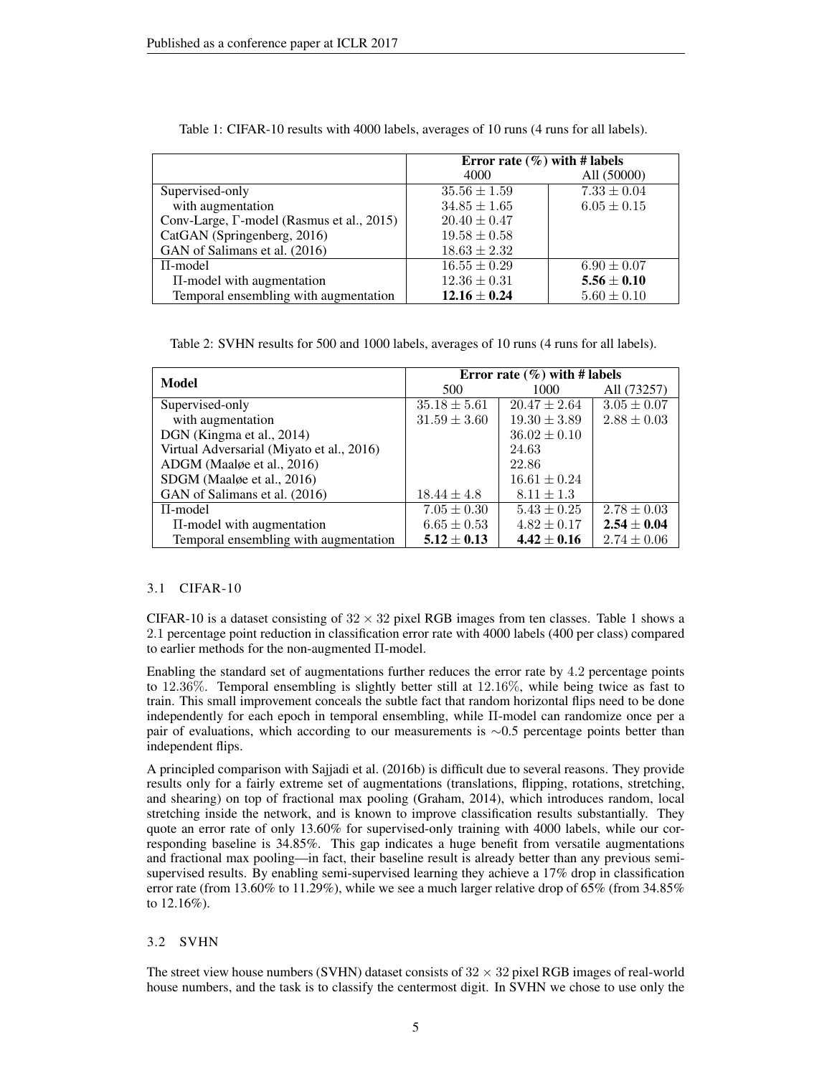|                                                   | Error rate $(\% )$ with # labels |                 |  |
|---------------------------------------------------|----------------------------------|-----------------|--|
|                                                   | 4000                             | All (50000)     |  |
| Supervised-only                                   | $35.56 \pm 1.59$                 | $7.33 \pm 0.04$ |  |
| with augmentation                                 | $34.85 \pm 1.65$                 | $6.05 \pm 0.15$ |  |
| Conv-Large, $\Gamma$ -model (Rasmus et al., 2015) | $20.40 \pm 0.47$                 |                 |  |
| CatGAN (Springenberg, 2016)                       | $19.58 \pm 0.58$                 |                 |  |
| GAN of Salimans et al. (2016)                     | $18.63 \pm 2.32$                 |                 |  |
| $\Pi$ -model                                      | $16.55 \pm 0.29$                 | $6.90 \pm 0.07$ |  |
| II-model with augmentation                        | $12.36 \pm 0.31$                 | $5.56 \pm 0.10$ |  |
| Temporal ensembling with augmentation             | $12.16 \pm 0.24$                 | $5.60 \pm 0.10$ |  |

Table 1: CIFAR-10 results with 4000 labels, averages of 10 runs (4 runs for all labels).

Table 2: SVHN results for 500 and 1000 labels, averages of 10 runs (4 runs for all labels).

|                                           | Error rate $(\% )$ with # labels |                  |                 |  |
|-------------------------------------------|----------------------------------|------------------|-----------------|--|
| Model                                     | 500                              | 1000             | All (73257)     |  |
| Supervised-only                           | $35.18 \pm 5.61$                 | $20.47 \pm 2.64$ | $3.05 \pm 0.07$ |  |
| with augmentation                         | $31.59 \pm 3.60$                 | $19.30 \pm 3.89$ | $2.88 \pm 0.03$ |  |
| DGN (Kingma et al., 2014)                 |                                  | $36.02 \pm 0.10$ |                 |  |
| Virtual Adversarial (Miyato et al., 2016) |                                  | 24.63            |                 |  |
| ADGM (Maalge et al., 2016)                |                                  | 22.86            |                 |  |
| SDGM (Maalge et al., 2016)                |                                  | $16.61 \pm 0.24$ |                 |  |
| GAN of Salimans et al. (2016)             | $18.44 \pm 4.8$                  | $8.11 \pm 1.3$   |                 |  |
| $\Pi$ -model                              | $7.05 \pm 0.30$                  | $5.43 \pm 0.25$  | $2.78 \pm 0.03$ |  |
| $\Pi$ -model with augmentation            | $6.65 \pm 0.53$                  | $4.82 \pm 0.17$  | $2.54 \pm 0.04$ |  |
| Temporal ensembling with augmentation     | $5.12 \pm 0.13$                  | $4.42 \pm 0.16$  | $2.74 \pm 0.06$ |  |

#### 3.1 CIFAR-10

CIFAR-10 is a dataset consisting of  $32 \times 32$  pixel RGB images from ten classes. Table 1 shows a 2.1 percentage point reduction in classification error rate with 4000 labels (400 per class) compared to earlier methods for the non-augmented Π-model.

Enabling the standard set of augmentations further reduces the error rate by 4.2 percentage points to 12.36%. Temporal ensembling is slightly better still at 12.16%, while being twice as fast to train. This small improvement conceals the subtle fact that random horizontal flips need to be done independently for each epoch in temporal ensembling, while Π-model can randomize once per a pair of evaluations, which according to our measurements is ∼0.5 percentage points better than independent flips.

A principled comparison with Sajjadi et al. (2016b) is difficult due to several reasons. They provide results only for a fairly extreme set of augmentations (translations, flipping, rotations, stretching, and shearing) on top of fractional max pooling (Graham, 2014), which introduces random, local stretching inside the network, and is known to improve classification results substantially. They quote an error rate of only 13.60% for supervised-only training with 4000 labels, while our corresponding baseline is 34.85%. This gap indicates a huge benefit from versatile augmentations and fractional max pooling—in fact, their baseline result is already better than any previous semisupervised results. By enabling semi-supervised learning they achieve a 17% drop in classification error rate (from 13.60% to 11.29%), while we see a much larger relative drop of 65% (from 34.85% to 12.16%).

#### 3.2 SVHN

The street view house numbers (SVHN) dataset consists of  $32 \times 32$  pixel RGB images of real-world house numbers, and the task is to classify the centermost digit. In SVHN we chose to use only the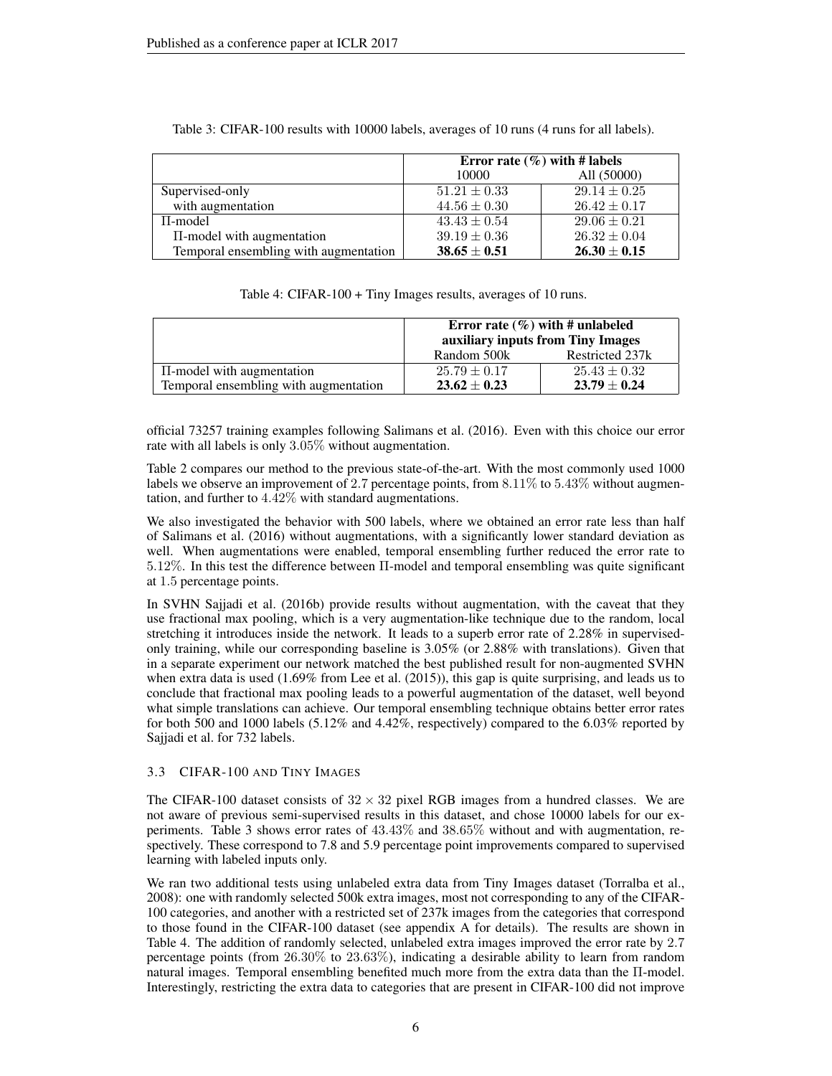|                                       | Error rate $(\%)$ with # labels |                  |  |
|---------------------------------------|---------------------------------|------------------|--|
|                                       | 10000                           | All (50000)      |  |
| Supervised-only                       | $51.21 \pm 0.33$                | $29.14 \pm 0.25$ |  |
| with augmentation                     | $44.56 \pm 0.30$                | $26.42 \pm 0.17$ |  |
| $\Pi$ -model                          | $43.43 \pm 0.54$                | $29.06 \pm 0.21$ |  |
| $\Pi$ -model with augmentation        | $39.19 \pm 0.36$                | $26.32 \pm 0.04$ |  |
| Temporal ensembling with augmentation | $38.65 \pm 0.51$                | $26.30 \pm 0.15$ |  |

Table 3: CIFAR-100 results with 10000 labels, averages of 10 runs (4 runs for all labels).

| Table 4: CIFAR-100 + Tiny Images results, averages of 10 runs. |  |  |
|----------------------------------------------------------------|--|--|
|                                                                |  |  |

|                                       | Error rate $(\%)$ with # unlabeled<br>auxiliary inputs from Tiny Images |                  |  |
|---------------------------------------|-------------------------------------------------------------------------|------------------|--|
|                                       | Random 500k                                                             | Restricted 237k  |  |
| $\Pi$ -model with augmentation        | $25.79 \pm 0.17$                                                        | $25.43 \pm 0.32$ |  |
| Temporal ensembling with augmentation | $23.62 \pm 0.23$                                                        | $23.79 \pm 0.24$ |  |

official 73257 training examples following Salimans et al. (2016). Even with this choice our error rate with all labels is only 3.05% without augmentation.

Table 2 compares our method to the previous state-of-the-art. With the most commonly used 1000 labels we observe an improvement of 2.7 percentage points, from  $8.11\%$  to  $5.43\%$  without augmentation, and further to 4.42% with standard augmentations.

We also investigated the behavior with 500 labels, where we obtained an error rate less than half of Salimans et al. (2016) without augmentations, with a significantly lower standard deviation as well. When augmentations were enabled, temporal ensembling further reduced the error rate to 5.12%. In this test the difference between Π-model and temporal ensembling was quite significant at 1.5 percentage points.

In SVHN Sajjadi et al. (2016b) provide results without augmentation, with the caveat that they use fractional max pooling, which is a very augmentation-like technique due to the random, local stretching it introduces inside the network. It leads to a superb error rate of 2.28% in supervisedonly training, while our corresponding baseline is 3.05% (or 2.88% with translations). Given that in a separate experiment our network matched the best published result for non-augmented SVHN when extra data is used (1.69% from Lee et al. (2015)), this gap is quite surprising, and leads us to conclude that fractional max pooling leads to a powerful augmentation of the dataset, well beyond what simple translations can achieve. Our temporal ensembling technique obtains better error rates for both 500 and 1000 labels (5.12% and 4.42%, respectively) compared to the 6.03% reported by Sajjadi et al. for 732 labels.

## 3.3 CIFAR-100 AND TINY IMAGES

The CIFAR-100 dataset consists of  $32 \times 32$  pixel RGB images from a hundred classes. We are not aware of previous semi-supervised results in this dataset, and chose 10000 labels for our experiments. Table 3 shows error rates of 43.43% and 38.65% without and with augmentation, respectively. These correspond to 7.8 and 5.9 percentage point improvements compared to supervised learning with labeled inputs only.

We ran two additional tests using unlabeled extra data from Tiny Images dataset (Torralba et al., 2008): one with randomly selected 500k extra images, most not corresponding to any of the CIFAR-100 categories, and another with a restricted set of 237k images from the categories that correspond to those found in the CIFAR-100 dataset (see appendix A for details). The results are shown in Table 4. The addition of randomly selected, unlabeled extra images improved the error rate by 2.7 percentage points (from 26.30% to 23.63%), indicating a desirable ability to learn from random natural images. Temporal ensembling benefited much more from the extra data than the Π-model. Interestingly, restricting the extra data to categories that are present in CIFAR-100 did not improve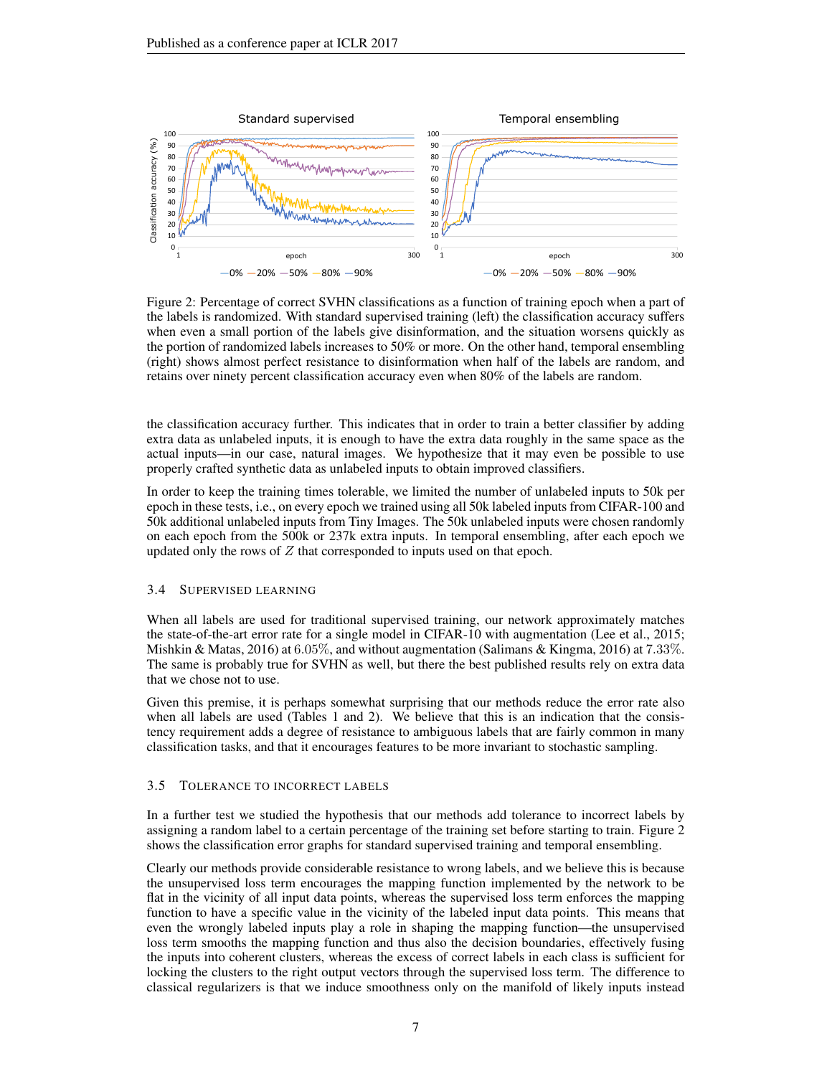

Figure 2: Percentage of correct SVHN classifications as a function of training epoch when a part of the labels is randomized. With standard supervised training (left) the classification accuracy suffers when even a small portion of the labels give disinformation, and the situation worsens quickly as the portion of randomized labels increases to 50% or more. On the other hand, temporal ensembling (right) shows almost perfect resistance to disinformation when half of the labels are random, and retains over ninety percent classification accuracy even when 80% of the labels are random.

the classification accuracy further. This indicates that in order to train a better classifier by adding extra data as unlabeled inputs, it is enough to have the extra data roughly in the same space as the actual inputs—in our case, natural images. We hypothesize that it may even be possible to use properly crafted synthetic data as unlabeled inputs to obtain improved classifiers.

In order to keep the training times tolerable, we limited the number of unlabeled inputs to 50k per epoch in these tests, i.e., on every epoch we trained using all 50k labeled inputs from CIFAR-100 and 50k additional unlabeled inputs from Tiny Images. The 50k unlabeled inputs were chosen randomly on each epoch from the 500k or 237k extra inputs. In temporal ensembling, after each epoch we updated only the rows of  $Z$  that corresponded to inputs used on that epoch.

#### 3.4 SUPERVISED LEARNING

When all labels are used for traditional supervised training, our network approximately matches the state-of-the-art error rate for a single model in CIFAR-10 with augmentation (Lee et al., 2015; Mishkin & Matas, 2016) at 6.05%, and without augmentation (Salimans & Kingma, 2016) at 7.33%. The same is probably true for SVHN as well, but there the best published results rely on extra data that we chose not to use.

Given this premise, it is perhaps somewhat surprising that our methods reduce the error rate also when all labels are used (Tables 1 and 2). We believe that this is an indication that the consistency requirement adds a degree of resistance to ambiguous labels that are fairly common in many classification tasks, and that it encourages features to be more invariant to stochastic sampling.

#### 3.5 TOLERANCE TO INCORRECT LABELS

In a further test we studied the hypothesis that our methods add tolerance to incorrect labels by assigning a random label to a certain percentage of the training set before starting to train. Figure 2 shows the classification error graphs for standard supervised training and temporal ensembling.

Clearly our methods provide considerable resistance to wrong labels, and we believe this is because the unsupervised loss term encourages the mapping function implemented by the network to be flat in the vicinity of all input data points, whereas the supervised loss term enforces the mapping function to have a specific value in the vicinity of the labeled input data points. This means that even the wrongly labeled inputs play a role in shaping the mapping function—the unsupervised loss term smooths the mapping function and thus also the decision boundaries, effectively fusing the inputs into coherent clusters, whereas the excess of correct labels in each class is sufficient for locking the clusters to the right output vectors through the supervised loss term. The difference to classical regularizers is that we induce smoothness only on the manifold of likely inputs instead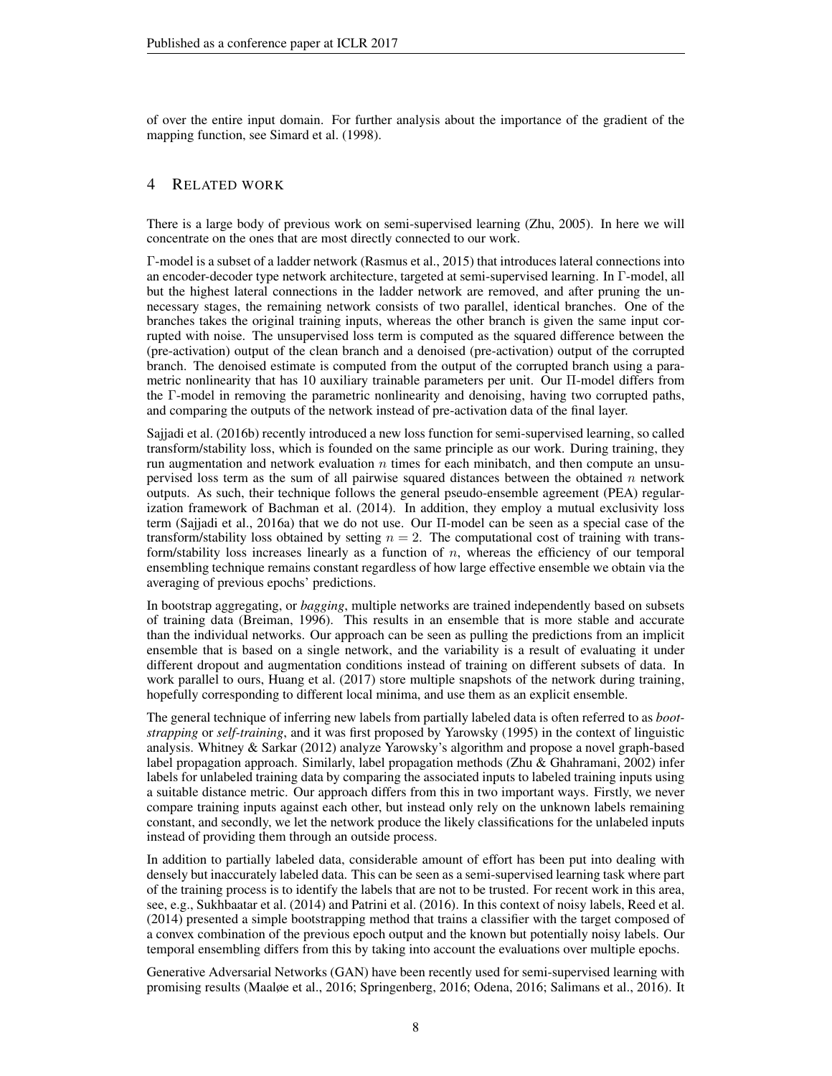of over the entire input domain. For further analysis about the importance of the gradient of the mapping function, see Simard et al. (1998).

# 4 RELATED WORK

There is a large body of previous work on semi-supervised learning (Zhu, 2005). In here we will concentrate on the ones that are most directly connected to our work.

Γ-model is a subset of a ladder network (Rasmus et al., 2015) that introduces lateral connections into an encoder-decoder type network architecture, targeted at semi-supervised learning. In Γ-model, all but the highest lateral connections in the ladder network are removed, and after pruning the unnecessary stages, the remaining network consists of two parallel, identical branches. One of the branches takes the original training inputs, whereas the other branch is given the same input corrupted with noise. The unsupervised loss term is computed as the squared difference between the (pre-activation) output of the clean branch and a denoised (pre-activation) output of the corrupted branch. The denoised estimate is computed from the output of the corrupted branch using a parametric nonlinearity that has 10 auxiliary trainable parameters per unit. Our Π-model differs from the Γ-model in removing the parametric nonlinearity and denoising, having two corrupted paths, and comparing the outputs of the network instead of pre-activation data of the final layer.

Sajjadi et al. (2016b) recently introduced a new loss function for semi-supervised learning, so called transform/stability loss, which is founded on the same principle as our work. During training, they run augmentation and network evaluation  $n$  times for each minibatch, and then compute an unsupervised loss term as the sum of all pairwise squared distances between the obtained  $n$  network outputs. As such, their technique follows the general pseudo-ensemble agreement (PEA) regularization framework of Bachman et al. (2014). In addition, they employ a mutual exclusivity loss term (Sajjadi et al., 2016a) that we do not use. Our Π-model can be seen as a special case of the transform/stability loss obtained by setting  $n = 2$ . The computational cost of training with transform/stability loss increases linearly as a function of  $n$ , whereas the efficiency of our temporal ensembling technique remains constant regardless of how large effective ensemble we obtain via the averaging of previous epochs' predictions.

In bootstrap aggregating, or *bagging*, multiple networks are trained independently based on subsets of training data (Breiman, 1996). This results in an ensemble that is more stable and accurate than the individual networks. Our approach can be seen as pulling the predictions from an implicit ensemble that is based on a single network, and the variability is a result of evaluating it under different dropout and augmentation conditions instead of training on different subsets of data. In work parallel to ours, Huang et al. (2017) store multiple snapshots of the network during training, hopefully corresponding to different local minima, and use them as an explicit ensemble.

The general technique of inferring new labels from partially labeled data is often referred to as *bootstrapping* or *self-training*, and it was first proposed by Yarowsky (1995) in the context of linguistic analysis. Whitney & Sarkar (2012) analyze Yarowsky's algorithm and propose a novel graph-based label propagation approach. Similarly, label propagation methods (Zhu & Ghahramani, 2002) infer labels for unlabeled training data by comparing the associated inputs to labeled training inputs using a suitable distance metric. Our approach differs from this in two important ways. Firstly, we never compare training inputs against each other, but instead only rely on the unknown labels remaining constant, and secondly, we let the network produce the likely classifications for the unlabeled inputs instead of providing them through an outside process.

In addition to partially labeled data, considerable amount of effort has been put into dealing with densely but inaccurately labeled data. This can be seen as a semi-supervised learning task where part of the training process is to identify the labels that are not to be trusted. For recent work in this area, see, e.g., Sukhbaatar et al. (2014) and Patrini et al. (2016). In this context of noisy labels, Reed et al. (2014) presented a simple bootstrapping method that trains a classifier with the target composed of a convex combination of the previous epoch output and the known but potentially noisy labels. Our temporal ensembling differs from this by taking into account the evaluations over multiple epochs.

Generative Adversarial Networks (GAN) have been recently used for semi-supervised learning with promising results (Maaløe et al., 2016; Springenberg, 2016; Odena, 2016; Salimans et al., 2016). It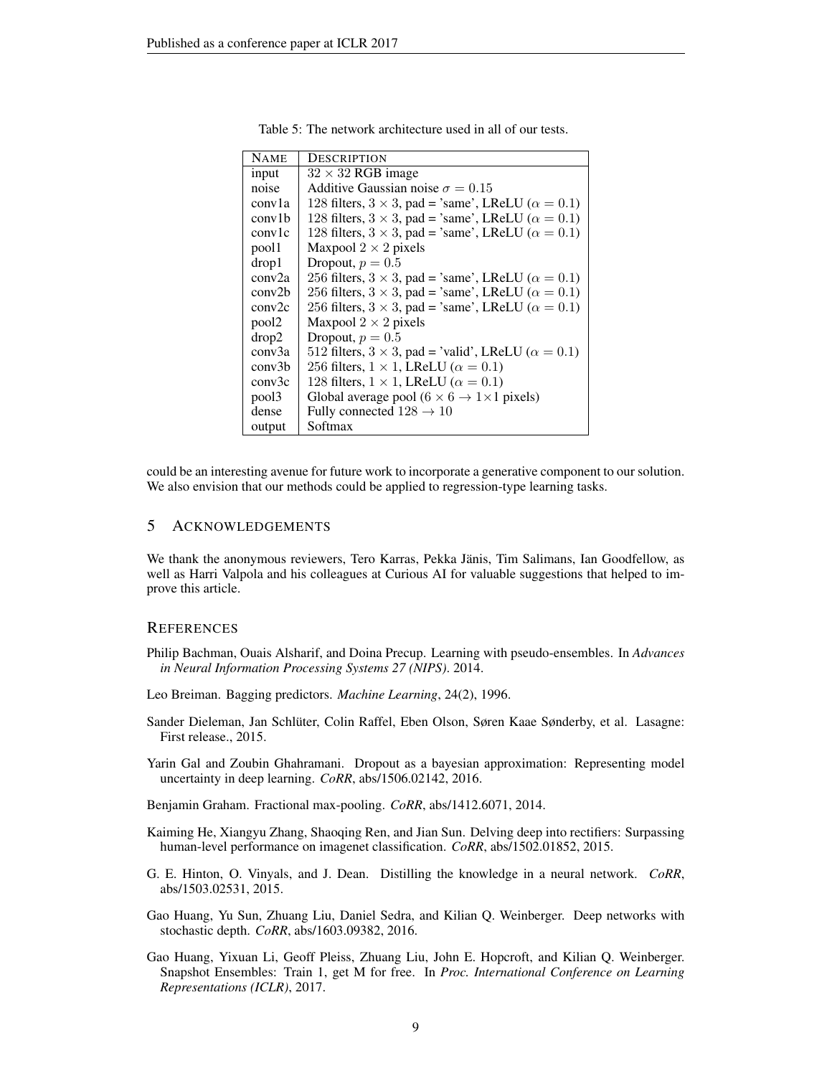| <b>NAME</b>       | DESCRIPTION                                                         |
|-------------------|---------------------------------------------------------------------|
| input             | $32 \times 32$ RGB image                                            |
| noise             | Additive Gaussian noise $\sigma = 0.15$                             |
| conv1a            | 128 filters, $3 \times 3$ , pad = 'same', LReLU ( $\alpha = 0.1$ )  |
| conv1b            | 128 filters, $3 \times 3$ , pad = 'same', LReLU ( $\alpha = 0.1$ )  |
| conv1c            | 128 filters, $3 \times 3$ , pad = 'same', LReLU ( $\alpha = 0.1$ )  |
| pool1             | Maxpool $2 \times 2$ pixels                                         |
| drop1             | Dropout, $p = 0.5$                                                  |
| conv2a            | 256 filters, $3 \times 3$ , pad = 'same', LReLU ( $\alpha = 0.1$ )  |
| conv2b            | 256 filters, $3 \times 3$ , pad = 'same', LReLU ( $\alpha = 0.1$ )  |
| conv2c            | 256 filters, $3 \times 3$ , pad = 'same', LReLU ( $\alpha = 0.1$ )  |
| pool <sub>2</sub> | Maxpool $2 \times 2$ pixels                                         |
| drop2             | Dropout, $p = 0.5$                                                  |
| conv3a            | 512 filters, $3 \times 3$ , pad = 'valid', LReLU ( $\alpha = 0.1$ ) |
| conv3b            | 256 filters, $1 \times 1$ , LReLU ( $\alpha = 0.1$ )                |
| conv3c            | 128 filters, $1 \times 1$ , LReLU ( $\alpha = 0.1$ )                |
| pool3             | Global average pool ( $6 \times 6 \rightarrow 1 \times 1$ pixels)   |
| dense             | Fully connected $128 \rightarrow 10$                                |
| output            | Softmax                                                             |

Table 5: The network architecture used in all of our tests.

could be an interesting avenue for future work to incorporate a generative component to our solution. We also envision that our methods could be applied to regression-type learning tasks.

## 5 ACKNOWLEDGEMENTS

We thank the anonymous reviewers, Tero Karras, Pekka Jänis, Tim Salimans, Ian Goodfellow, as well as Harri Valpola and his colleagues at Curious AI for valuable suggestions that helped to improve this article.

#### **REFERENCES**

- Philip Bachman, Ouais Alsharif, and Doina Precup. Learning with pseudo-ensembles. In *Advances in Neural Information Processing Systems 27 (NIPS)*. 2014.
- Leo Breiman. Bagging predictors. *Machine Learning*, 24(2), 1996.
- Sander Dieleman, Jan Schluter, Colin Raffel, Eben Olson, Søren Kaae Sønderby, et al. Lasagne: ¨ First release., 2015.
- Yarin Gal and Zoubin Ghahramani. Dropout as a bayesian approximation: Representing model uncertainty in deep learning. *CoRR*, abs/1506.02142, 2016.

Benjamin Graham. Fractional max-pooling. *CoRR*, abs/1412.6071, 2014.

- Kaiming He, Xiangyu Zhang, Shaoqing Ren, and Jian Sun. Delving deep into rectifiers: Surpassing human-level performance on imagenet classification. *CoRR*, abs/1502.01852, 2015.
- G. E. Hinton, O. Vinyals, and J. Dean. Distilling the knowledge in a neural network. *CoRR*, abs/1503.02531, 2015.
- Gao Huang, Yu Sun, Zhuang Liu, Daniel Sedra, and Kilian Q. Weinberger. Deep networks with stochastic depth. *CoRR*, abs/1603.09382, 2016.
- Gao Huang, Yixuan Li, Geoff Pleiss, Zhuang Liu, John E. Hopcroft, and Kilian Q. Weinberger. Snapshot Ensembles: Train 1, get M for free. In *Proc. International Conference on Learning Representations (ICLR)*, 2017.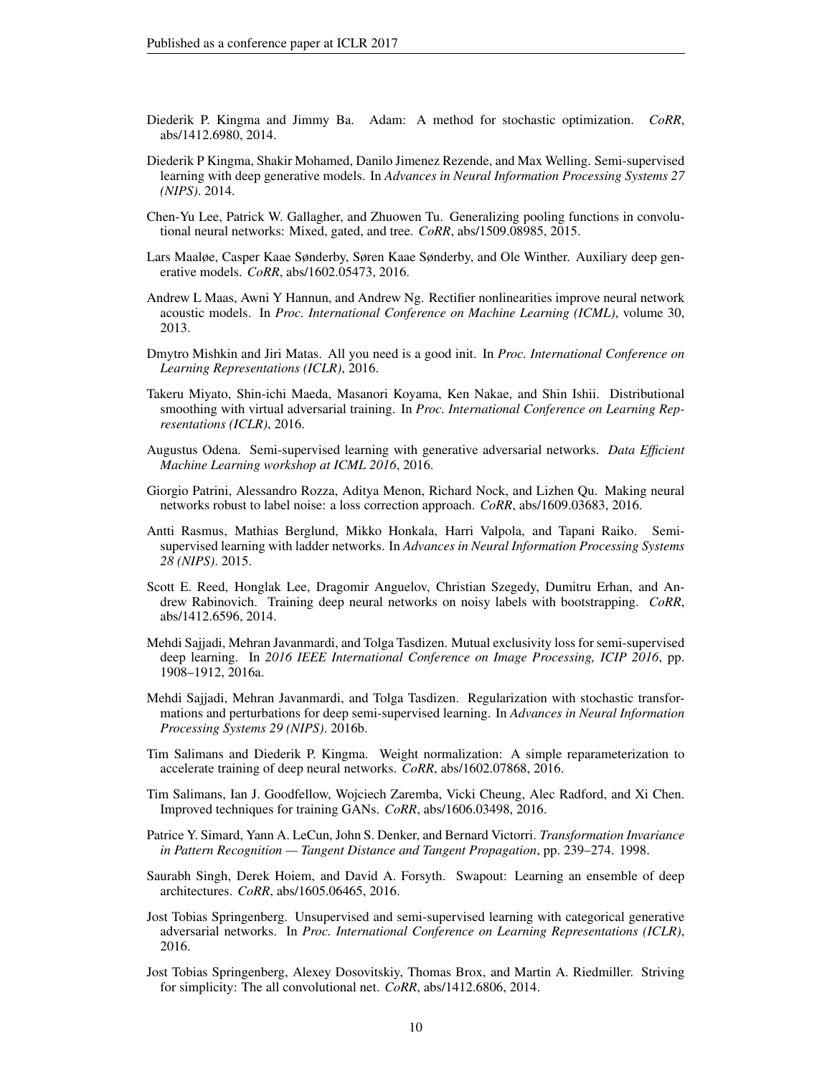- Diederik P. Kingma and Jimmy Ba. Adam: A method for stochastic optimization. *CoRR*, abs/1412.6980, 2014.
- Diederik P Kingma, Shakir Mohamed, Danilo Jimenez Rezende, and Max Welling. Semi-supervised learning with deep generative models. In *Advances in Neural Information Processing Systems 27 (NIPS)*. 2014.
- Chen-Yu Lee, Patrick W. Gallagher, and Zhuowen Tu. Generalizing pooling functions in convolutional neural networks: Mixed, gated, and tree. *CoRR*, abs/1509.08985, 2015.
- Lars Maaløe, Casper Kaae Sønderby, Søren Kaae Sønderby, and Ole Winther. Auxiliary deep generative models. *CoRR*, abs/1602.05473, 2016.
- Andrew L Maas, Awni Y Hannun, and Andrew Ng. Rectifier nonlinearities improve neural network acoustic models. In *Proc. International Conference on Machine Learning (ICML)*, volume 30, 2013.
- Dmytro Mishkin and Jiri Matas. All you need is a good init. In *Proc. International Conference on Learning Representations (ICLR)*, 2016.
- Takeru Miyato, Shin-ichi Maeda, Masanori Koyama, Ken Nakae, and Shin Ishii. Distributional smoothing with virtual adversarial training. In *Proc. International Conference on Learning Representations (ICLR)*, 2016.
- Augustus Odena. Semi-supervised learning with generative adversarial networks. *Data Efficient Machine Learning workshop at ICML 2016*, 2016.
- Giorgio Patrini, Alessandro Rozza, Aditya Menon, Richard Nock, and Lizhen Qu. Making neural networks robust to label noise: a loss correction approach. *CoRR*, abs/1609.03683, 2016.
- Antti Rasmus, Mathias Berglund, Mikko Honkala, Harri Valpola, and Tapani Raiko. Semisupervised learning with ladder networks. In *Advances in Neural Information Processing Systems 28 (NIPS)*. 2015.
- Scott E. Reed, Honglak Lee, Dragomir Anguelov, Christian Szegedy, Dumitru Erhan, and Andrew Rabinovich. Training deep neural networks on noisy labels with bootstrapping. *CoRR*, abs/1412.6596, 2014.
- Mehdi Sajjadi, Mehran Javanmardi, and Tolga Tasdizen. Mutual exclusivity loss for semi-supervised deep learning. In *2016 IEEE International Conference on Image Processing, ICIP 2016*, pp. 1908–1912, 2016a.
- Mehdi Sajjadi, Mehran Javanmardi, and Tolga Tasdizen. Regularization with stochastic transformations and perturbations for deep semi-supervised learning. In *Advances in Neural Information Processing Systems 29 (NIPS)*. 2016b.
- Tim Salimans and Diederik P. Kingma. Weight normalization: A simple reparameterization to accelerate training of deep neural networks. *CoRR*, abs/1602.07868, 2016.
- Tim Salimans, Ian J. Goodfellow, Wojciech Zaremba, Vicki Cheung, Alec Radford, and Xi Chen. Improved techniques for training GANs. *CoRR*, abs/1606.03498, 2016.
- Patrice Y. Simard, Yann A. LeCun, John S. Denker, and Bernard Victorri. *Transformation Invariance in Pattern Recognition — Tangent Distance and Tangent Propagation*, pp. 239–274. 1998.
- Saurabh Singh, Derek Hoiem, and David A. Forsyth. Swapout: Learning an ensemble of deep architectures. *CoRR*, abs/1605.06465, 2016.
- Jost Tobias Springenberg. Unsupervised and semi-supervised learning with categorical generative adversarial networks. In *Proc. International Conference on Learning Representations (ICLR)*, 2016.
- Jost Tobias Springenberg, Alexey Dosovitskiy, Thomas Brox, and Martin A. Riedmiller. Striving for simplicity: The all convolutional net. *CoRR*, abs/1412.6806, 2014.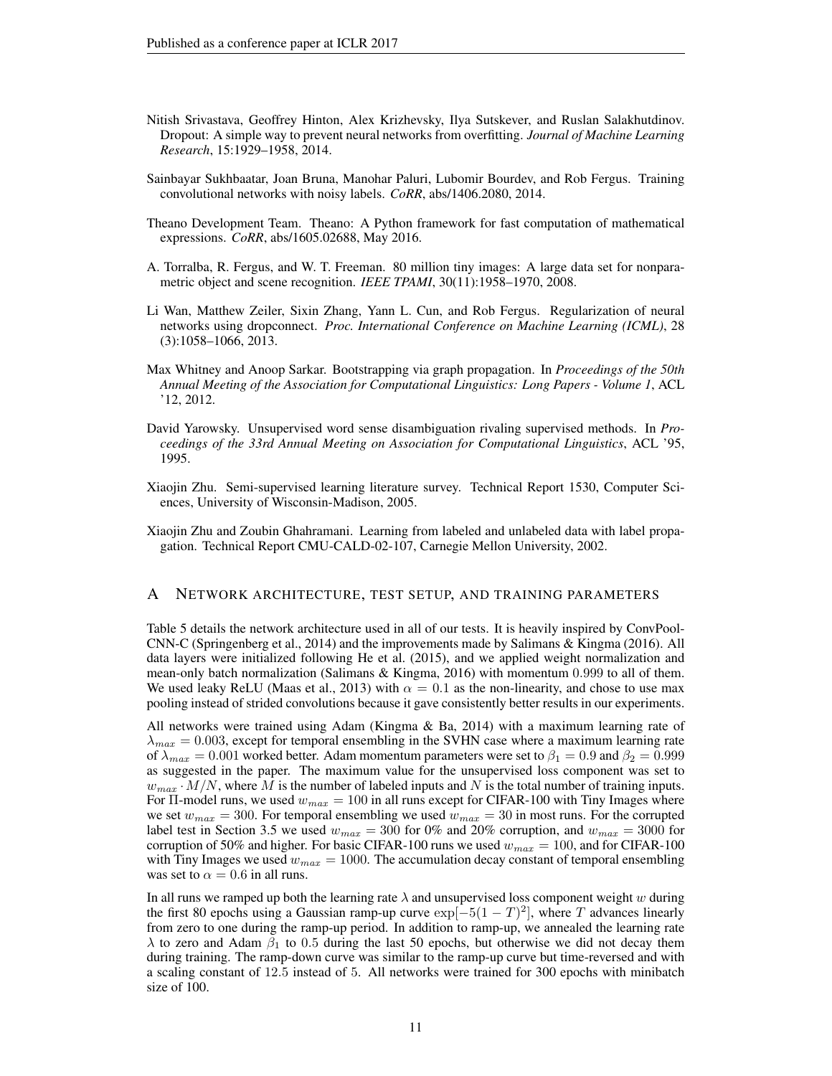- Nitish Srivastava, Geoffrey Hinton, Alex Krizhevsky, Ilya Sutskever, and Ruslan Salakhutdinov. Dropout: A simple way to prevent neural networks from overfitting. *Journal of Machine Learning Research*, 15:1929–1958, 2014.
- Sainbayar Sukhbaatar, Joan Bruna, Manohar Paluri, Lubomir Bourdev, and Rob Fergus. Training convolutional networks with noisy labels. *CoRR*, abs/1406.2080, 2014.
- Theano Development Team. Theano: A Python framework for fast computation of mathematical expressions. *CoRR*, abs/1605.02688, May 2016.
- A. Torralba, R. Fergus, and W. T. Freeman. 80 million tiny images: A large data set for nonparametric object and scene recognition. *IEEE TPAMI*, 30(11):1958–1970, 2008.
- Li Wan, Matthew Zeiler, Sixin Zhang, Yann L. Cun, and Rob Fergus. Regularization of neural networks using dropconnect. *Proc. International Conference on Machine Learning (ICML)*, 28 (3):1058–1066, 2013.
- Max Whitney and Anoop Sarkar. Bootstrapping via graph propagation. In *Proceedings of the 50th Annual Meeting of the Association for Computational Linguistics: Long Papers - Volume 1*, ACL '12, 2012.
- David Yarowsky. Unsupervised word sense disambiguation rivaling supervised methods. In *Proceedings of the 33rd Annual Meeting on Association for Computational Linguistics*, ACL '95, 1995.
- Xiaojin Zhu. Semi-supervised learning literature survey. Technical Report 1530, Computer Sciences, University of Wisconsin-Madison, 2005.
- Xiaojin Zhu and Zoubin Ghahramani. Learning from labeled and unlabeled data with label propagation. Technical Report CMU-CALD-02-107, Carnegie Mellon University, 2002.

#### A NETWORK ARCHITECTURE, TEST SETUP, AND TRAINING PARAMETERS

Table 5 details the network architecture used in all of our tests. It is heavily inspired by ConvPool-CNN-C (Springenberg et al., 2014) and the improvements made by Salimans & Kingma (2016). All data layers were initialized following He et al. (2015), and we applied weight normalization and mean-only batch normalization (Salimans & Kingma, 2016) with momentum 0.999 to all of them. We used leaky ReLU (Maas et al., 2013) with  $\alpha = 0.1$  as the non-linearity, and chose to use max pooling instead of strided convolutions because it gave consistently better results in our experiments.

All networks were trained using Adam (Kingma & Ba, 2014) with a maximum learning rate of  $\lambda_{max} = 0.003$ , except for temporal ensembling in the SVHN case where a maximum learning rate of  $\lambda_{max} = 0.001$  worked better. Adam momentum parameters were set to  $\beta_1 = 0.9$  and  $\beta_2 = 0.999$ as suggested in the paper. The maximum value for the unsupervised loss component was set to  $w_{max} \cdot M/N$ , where M is the number of labeled inputs and N is the total number of training inputs. For II-model runs, we used  $w_{max} = 100$  in all runs except for CIFAR-100 with Tiny Images where we set  $w_{max} = 300$ . For temporal ensembling we used  $w_{max} = 30$  in most runs. For the corrupted label test in Section 3.5 we used  $w_{max} = 300$  for 0% and 20% corruption, and  $w_{max} = 3000$  for corruption of 50% and higher. For basic CIFAR-100 runs we used  $w_{max} = 100$ , and for CIFAR-100 with Tiny Images we used  $w_{max} = 1000$ . The accumulation decay constant of temporal ensembling was set to  $\alpha = 0.6$  in all runs.

In all runs we ramped up both the learning rate  $\lambda$  and unsupervised loss component weight w during the first 80 epochs using a Gaussian ramp-up curve  $\exp[-5(1-T)^2]$ , where T advances linearly from zero to one during the ramp-up period. In addition to ramp-up, we annealed the learning rate  $\lambda$  to zero and Adam  $\beta_1$  to 0.5 during the last 50 epochs, but otherwise we did not decay them during training. The ramp-down curve was similar to the ramp-up curve but time-reversed and with a scaling constant of 12.5 instead of 5. All networks were trained for 300 epochs with minibatch size of 100.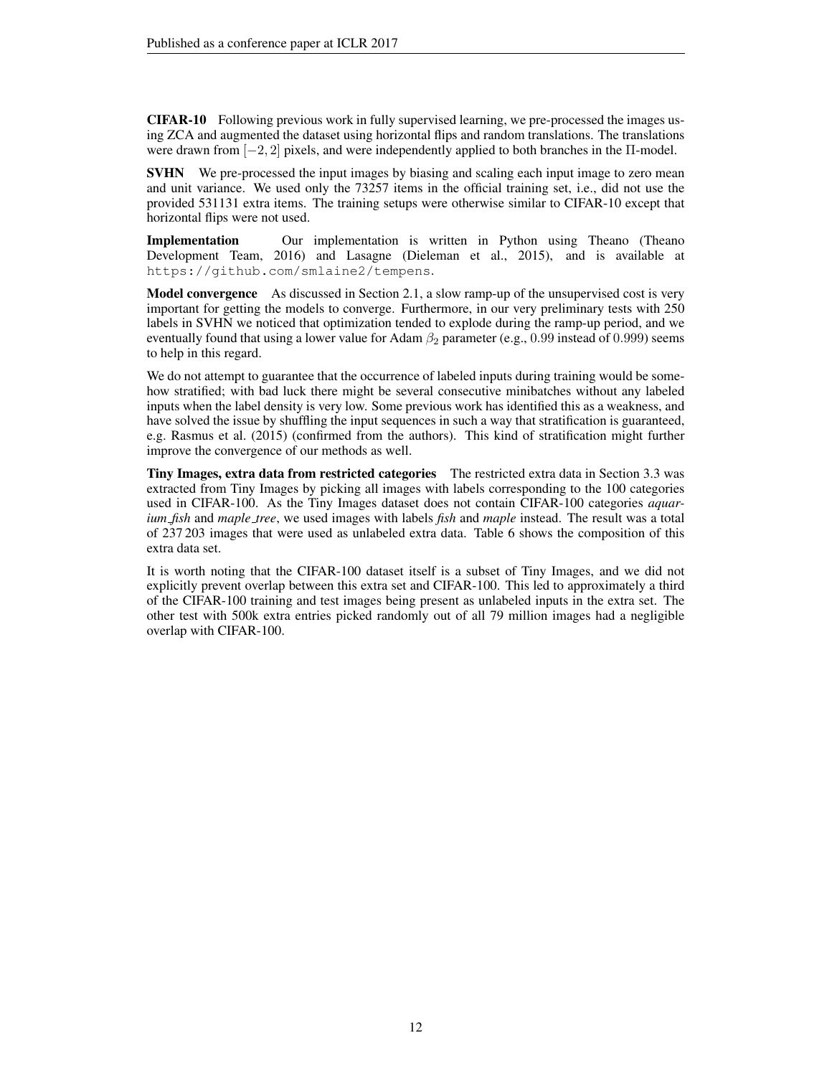CIFAR-10 Following previous work in fully supervised learning, we pre-processed the images using ZCA and augmented the dataset using horizontal flips and random translations. The translations were drawn from [−2, 2] pixels, and were independently applied to both branches in the Π-model.

**SVHN** We pre-processed the input images by biasing and scaling each input image to zero mean and unit variance. We used only the 73257 items in the official training set, i.e., did not use the provided 531131 extra items. The training setups were otherwise similar to CIFAR-10 except that horizontal flips were not used.

Implementation Our implementation is written in Python using Theano (Theano Development Team, 2016) and Lasagne (Dieleman et al., 2015), and is available at https://github.com/smlaine2/tempens.

**Model convergence** As discussed in Section 2.1, a slow ramp-up of the unsupervised cost is very important for getting the models to converge. Furthermore, in our very preliminary tests with 250 labels in SVHN we noticed that optimization tended to explode during the ramp-up period, and we eventually found that using a lower value for Adam  $\beta_2$  parameter (e.g., 0.99 instead of 0.999) seems to help in this regard.

We do not attempt to guarantee that the occurrence of labeled inputs during training would be somehow stratified; with bad luck there might be several consecutive minibatches without any labeled inputs when the label density is very low. Some previous work has identified this as a weakness, and have solved the issue by shuffling the input sequences in such a way that stratification is guaranteed, e.g. Rasmus et al. (2015) (confirmed from the authors). This kind of stratification might further improve the convergence of our methods as well.

Tiny Images, extra data from restricted categories The restricted extra data in Section 3.3 was extracted from Tiny Images by picking all images with labels corresponding to the 100 categories used in CIFAR-100. As the Tiny Images dataset does not contain CIFAR-100 categories *aquarium fish* and *maple tree*, we used images with labels *fish* and *maple* instead. The result was a total of 237 203 images that were used as unlabeled extra data. Table 6 shows the composition of this extra data set.

It is worth noting that the CIFAR-100 dataset itself is a subset of Tiny Images, and we did not explicitly prevent overlap between this extra set and CIFAR-100. This led to approximately a third of the CIFAR-100 training and test images being present as unlabeled inputs in the extra set. The other test with 500k extra entries picked randomly out of all 79 million images had a negligible overlap with CIFAR-100.